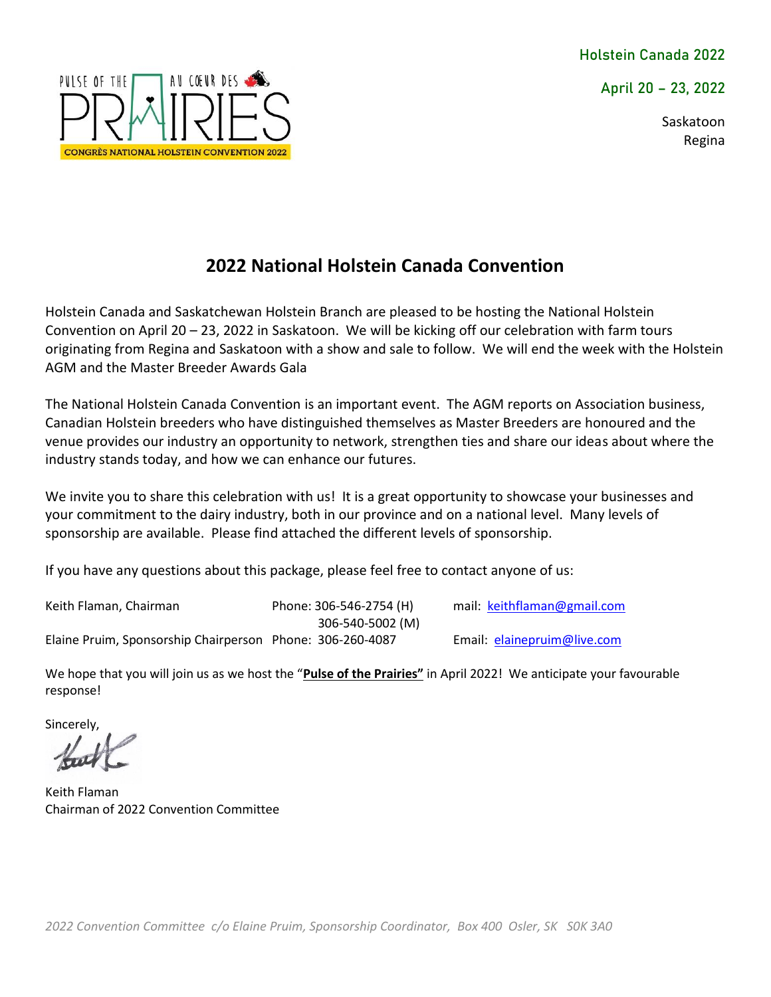**April 20 – 23, 2022** 

Saskatoon Regina



# **2022 National Holstein Canada Convention**

Holstein Canada and Saskatchewan Holstein Branch are pleased to be hosting the National Holstein Convention on April 20 – 23, 2022 in Saskatoon. We will be kicking off our celebration with farm tours originating from Regina and Saskatoon with a show and sale to follow. We will end the week with the Holstein AGM and the Master Breeder Awards Gala

The National Holstein Canada Convention is an important event. The AGM reports on Association business, Canadian Holstein breeders who have distinguished themselves as Master Breeders are honoured and the venue provides our industry an opportunity to network, strengthen ties and share our ideas about where the industry stands today, and how we can enhance our futures.

We invite you to share this celebration with us! It is a great opportunity to showcase your businesses and your commitment to the dairy industry, both in our province and on a national level. Many levels of sponsorship are available. Please find attached the different levels of sponsorship.

If you have any questions about this package, please feel free to contact anyone of us:

Keith Flaman, Chairman **Phone: 306-546-2754 (H)** mail: [keithflaman@gmail.com](mailto:keithflaman@gmail.com) 306-540-5002 (M) Elaine Pruim, Sponsorship Chairperson Phone: 306-260-4087 Email: [elainepruim@live.com](mailto:elainepruim@live.com)

We hope that you will join us as we host the "**Pulse of the Prairies"** in April 2022! We anticipate your favourable response!

Sincerely,

Keith Flaman Chairman of 2022 Convention Committee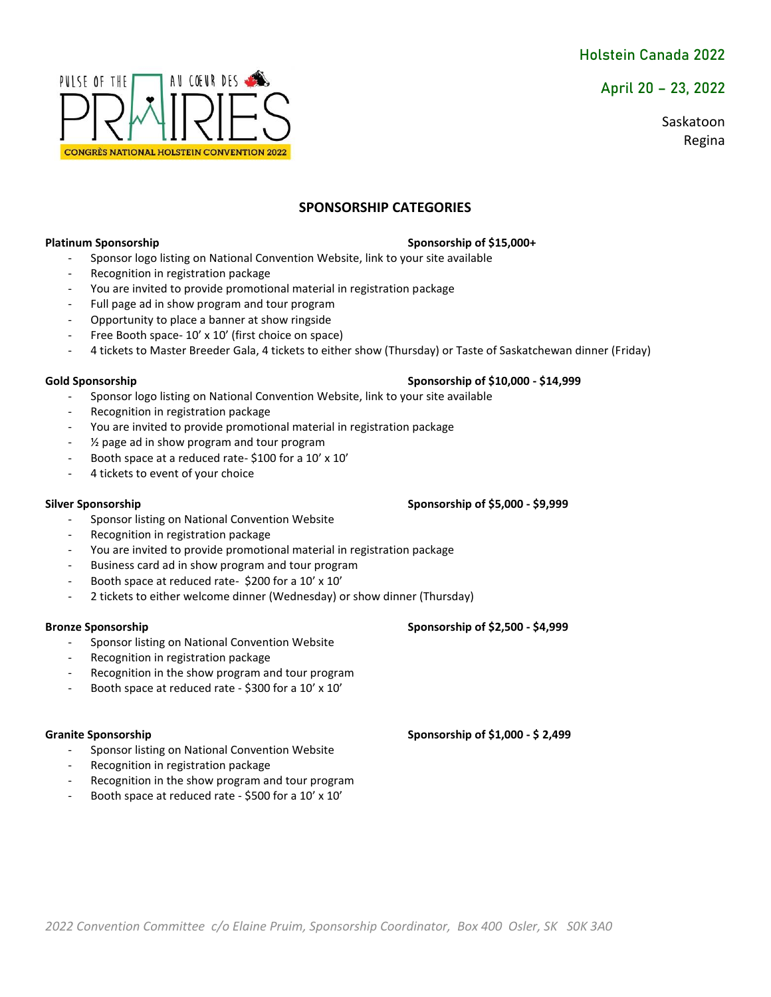**April 20 – 23, 2022** 

Saskatoon Regina



### **SPONSORSHIP CATEGORIES**

### **Platinum Sponsorship Sponsorship Sponsorship of \$15,000+ Sponsorship of \$15,000+**

- Sponsor logo listing on National Convention Website, link to your site available
- Recognition in registration package
- You are invited to provide promotional material in registration package
- Full page ad in show program and tour program
- Opportunity to place a banner at show ringside
- Free Booth space- 10' x 10' (first choice on space)
- 4 tickets to Master Breeder Gala, 4 tickets to either show (Thursday) or Taste of Saskatchewan dinner (Friday)

- Sponsor logo listing on National Convention Website, link to your site available
- Recognition in registration package
- You are invited to provide promotional material in registration package
- $\frac{1}{2}$  page ad in show program and tour program
- Booth space at a reduced rate- \$100 for a 10' x 10'
- 4 tickets to event of your choice

- Sponsor listing on National Convention Website
- Recognition in registration package
- You are invited to provide promotional material in registration package
- Business card ad in show program and tour program
- Booth space at reduced rate- \$200 for a 10' x 10'
- 2 tickets to either welcome dinner (Wednesday) or show dinner (Thursday)

### **Bronze Sponsorship Sponsorship of \$2,500 - \$4,999**

- Sponsor listing on National Convention Website
- Recognition in registration package
- Recognition in the show program and tour program
- Booth space at reduced rate \$300 for a 10' x 10'

- Sponsor listing on National Convention Website
- Recognition in registration package
- Recognition in the show program and tour program
- Booth space at reduced rate \$500 for a 10' x 10'

### Gold Sponsorship **Sponsorship Sponsorship of \$10,000 - \$14,999**

### **Silver Sponsorship Sponsorship of \$5,000 - \$9,999**

Granite Sponsorship **Sponsorship of \$1,000 - \$ 2,499**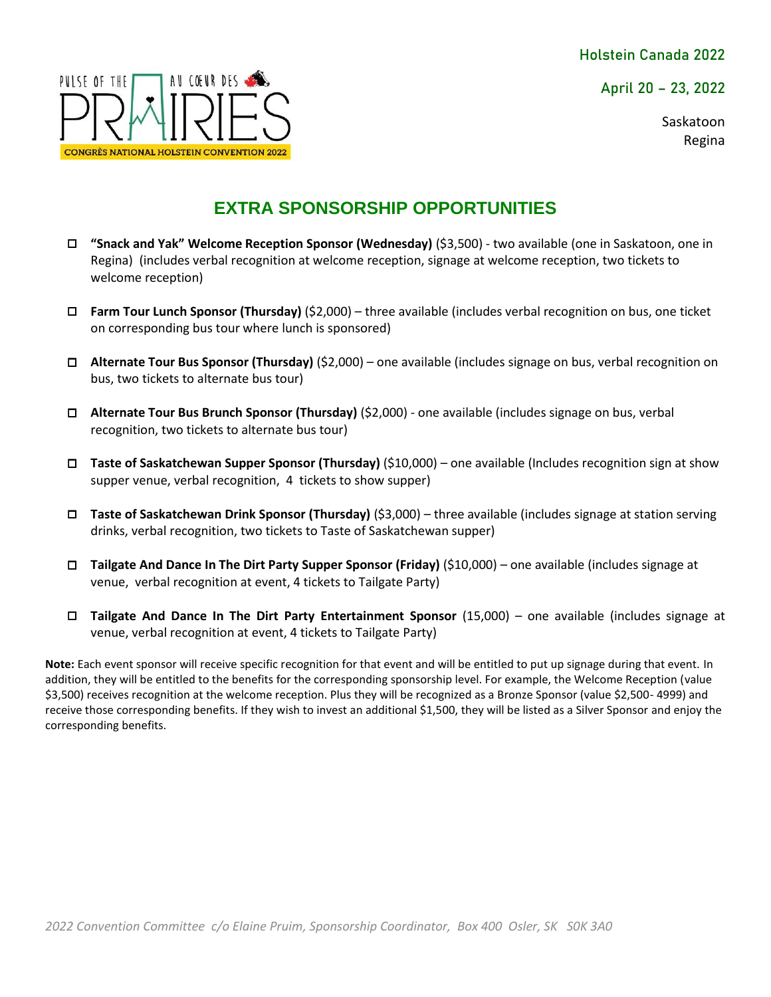**April 20 – 23, 2022** 

Saskatoon Regina



# **EXTRA SPONSORSHIP OPPORTUNITIES**

- □ **"Snack and Yak" Welcome Reception Sponsor (Wednesday)** (\$3,500) ‐ two available (one in Saskatoon, one in Regina) (includes verbal recognition at welcome reception, signage at welcome reception, two tickets to welcome reception)
- □ **Farm Tour Lunch Sponsor (Thursday)** (\$2,000) three available (includes verbal recognition on bus, one ticket on corresponding bus tour where lunch is sponsored)
- □ **Alternate Tour Bus Sponsor (Thursday)** (\$2,000) one available (includes signage on bus, verbal recognition on bus, two tickets to alternate bus tour)
- □ **Alternate Tour Bus Brunch Sponsor (Thursday)** (\$2,000) ‐ one available (includes signage on bus, verbal recognition, two tickets to alternate bus tour)
- □ **Taste of Saskatchewan Supper Sponsor (Thursday)** (\$10,000) one available (Includes recognition sign at show supper venue, verbal recognition, 4 tickets to show supper)
- □ **Taste of Saskatchewan Drink Sponsor (Thursday)** (\$3,000) three available (includes signage at station serving drinks, verbal recognition, two tickets to Taste of Saskatchewan supper)
- □ **Tailgate And Dance In The Dirt Party Supper Sponsor (Friday)** (\$10,000) one available (includes signage at venue, verbal recognition at event, 4 tickets to Tailgate Party)
- □ **Tailgate And Dance In The Dirt Party Entertainment Sponsor** (15,000) one available (includes signage at venue, verbal recognition at event, 4 tickets to Tailgate Party)

**Note:** Each event sponsor will receive specific recognition for that event and will be entitled to put up signage during that event. In addition, they will be entitled to the benefits for the corresponding sponsorship level. For example, the Welcome Reception (value \$3,500) receives recognition at the welcome reception. Plus they will be recognized as a Bronze Sponsor (value \$2,500- 4999) and receive those corresponding benefits. If they wish to invest an additional \$1,500, they will be listed as a Silver Sponsor and enjoy the corresponding benefits.